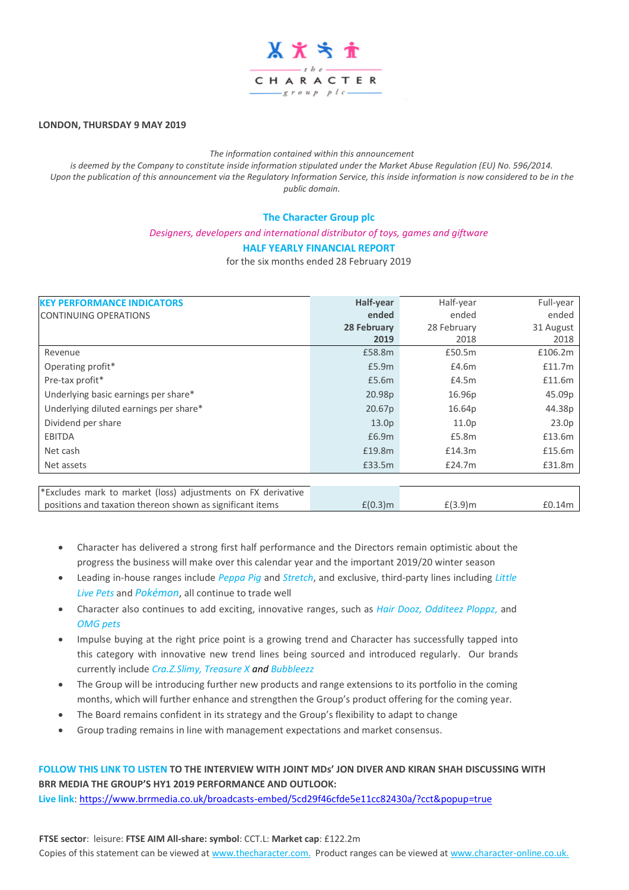

# **LONDON, THURSDAY 9 MAY 2019**

#### *The information contained within this announcement*

*is deemed by the Company to constitute inside information stipulated under the Market Abuse Regulation (EU) No. 596/2014. Upon the publication of this announcement via the Regulatory Information Service, this inside information is now considered to be in the public domain.*

## **The Character Group plc**

*Designers, developers and international distributor of toys, games and giftware*

## **HALF YEARLY FINANCIAL REPORT**

for the six months ended 28 February 2019

| <b>KEY PERFORMANCE INDICATORS</b>                            | Half-year         | Half-year         | Full-year |  |
|--------------------------------------------------------------|-------------------|-------------------|-----------|--|
| <b>CONTINUING OPERATIONS</b>                                 | ended             | ended             | ended     |  |
|                                                              | 28 February       | 28 February       | 31 August |  |
|                                                              | 2019              | 2018              | 2018      |  |
| Revenue                                                      | £58.8m            | £50.5m            | £106.2m   |  |
| Operating profit*                                            | £5.9m             | £4.6m             | £11.7m    |  |
| Pre-tax profit*                                              | £5.6m             | £4.5m             | £11.6m    |  |
| Underlying basic earnings per share*                         | 20.98p            | 16.96p            | 45.09p    |  |
| Underlying diluted earnings per share*                       | 20.67p            | 16.64p            | 44.38p    |  |
| Dividend per share                                           | 13.0 <sub>p</sub> | 11.0 <sub>p</sub> | 23.0p     |  |
| EBITDA                                                       | £6.9m             | £5.8m             | £13.6m    |  |
| Net cash                                                     | £19.8m            | £14.3m            | £15.6m    |  |
| Net assets                                                   | £33.5m            | £24.7m            | £31.8m    |  |
|                                                              |                   |                   |           |  |
| *Excludes mark to market (loss) adjustments on FX derivative |                   |                   |           |  |
| positions and taxation thereon shown as significant items    | $E(0.3)$ m        | $E(3.9)$ m        | £0.14m    |  |

- Character has delivered a strong first half performance and the Directors remain optimistic about the progress the business will make over this calendar year and the important 2019/20 winter season
- Leading in-house ranges include *Peppa Pig* and *Stretch*, and exclusive, third-party lines including *Little Live Pets* and *Pokémon*, all continue to trade well
- Character also continues to add exciting, innovative ranges, such as *Hair Dooz, Odditeez Ploppz,* and *OMG pets*
- Impulse buying at the right price point is a growing trend and Character has successfully tapped into this category with innovative new trend lines being sourced and introduced regularly. Our brands currently include *Cra.Z.Slimy, Treasure X and Bubbleezz*
- The Group will be introducing further new products and range extensions to its portfolio in the coming months, which will further enhance and strengthen the Group's product offering for the coming year.
- The Board remains confident in its strategy and the Group's flexibility to adapt to change
- Group trading remains in line with management expectations and market consensus.

# **FOLLOW THIS LINK TO LISTEN TO THE INTERVIEW WITH JOINT MDs' JON DIVER AND KIRAN SHAH DISCUSSING WITH BRR MEDIA THE GROUP'S HY1 2019 PERFORMANCE AND OUTLOOK:**

**Live link**:<https://www.brrmedia.co.uk/broadcasts-embed/5cd29f46cfde5e11cc82430a/?cct&popup=true>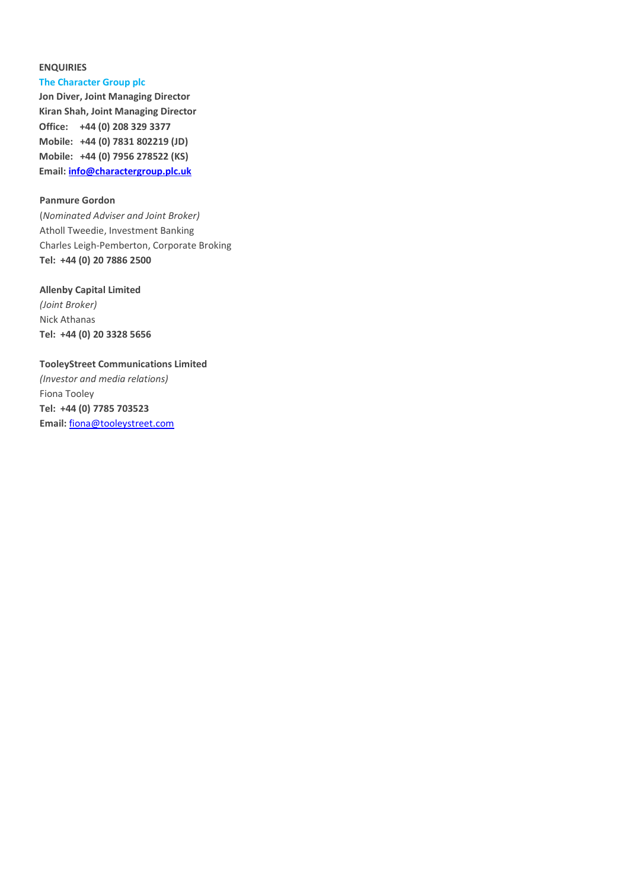# **ENQUIRIES**

#### **The Character Group plc**

**Jon Diver, Joint Managing Director Kiran Shah, Joint Managing Director Office: +44 (0) 208 329 3377 Mobile: +44 (0) 7831 802219 (JD) Mobile: +44 (0) 7956 278522 (KS) Email: [info@charactergroup.plc.uk](mailto:info@charactergroup.plc.uk)**

# **Panmure Gordon**

(*Nominated Adviser and Joint Broker)* Atholl Tweedie, Investment Banking Charles Leigh-Pemberton, Corporate Broking **Tel: +44 (0) 20 7886 2500**

#### **Allenby Capital Limited**

*(Joint Broker)* Nick Athanas **Tel: +44 (0) 20 3328 5656**

# **TooleyStreet Communications Limited**

*(Investor and media relations)* Fiona Tooley **Tel: +44 (0) 7785 703523 Email:** [fiona@tooleystreet.com](mailto:fiona@tooleystreet.com)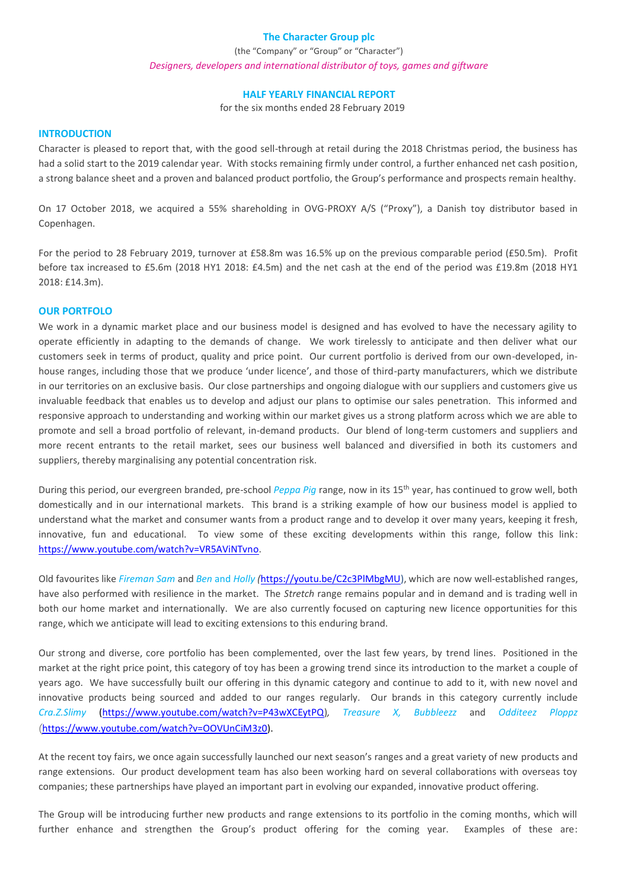# **The Character Group plc**

(the "Company" or "Group" or "Character") *Designers, developers and international distributor of toys, games and giftware*

#### **HALF YEARLY FINANCIAL REPORT**

for the six months ended 28 February 2019

## **INTRODUCTION**

Character is pleased to report that, with the good sell-through at retail during the 2018 Christmas period, the business has had a solid start to the 2019 calendar year. With stocks remaining firmly under control, a further enhanced net cash position, a strong balance sheet and a proven and balanced product portfolio, the Group's performance and prospects remain healthy.

On 17 October 2018, we acquired a 55% shareholding in OVG-PROXY A/S ("Proxy"), a Danish toy distributor based in Copenhagen.

For the period to 28 February 2019, turnover at £58.8m was 16.5% up on the previous comparable period (£50.5m). Profit before tax increased to £5.6m (2018 HY1 2018: £4.5m) and the net cash at the end of the period was £19.8m (2018 HY1 2018: £14.3m).

#### **OUR PORTFOLO**

We work in a dynamic market place and our business model is designed and has evolved to have the necessary agility to operate efficiently in adapting to the demands of change. We work tirelessly to anticipate and then deliver what our customers seek in terms of product, quality and price point. Our current portfolio is derived from our own-developed, inhouse ranges, including those that we produce 'under licence', and those of third-party manufacturers, which we distribute in our territories on an exclusive basis. Our close partnerships and ongoing dialogue with our suppliers and customers give us invaluable feedback that enables us to develop and adjust our plans to optimise our sales penetration. This informed and responsive approach to understanding and working within our market gives us a strong platform across which we are able to promote and sell a broad portfolio of relevant, in-demand products. Our blend of long-term customers and suppliers and more recent entrants to the retail market, sees our business well balanced and diversified in both its customers and suppliers, thereby marginalising any potential concentration risk.

During this period, our evergreen branded, pre-school *Peppa Pig* range, now in its 15th year, has continued to grow well, both domestically and in our international markets. This brand is a striking example of how our business model is applied to understand what the market and consumer wants from a product range and to develop it over many years, keeping it fresh, innovative, fun and educational. To view some of these exciting developments within this range, follow this link: [https://www.youtube.com/watch?v=VR5AViNTvno.](https://www.youtube.com/watch?v=VR5AViNTvno)

Old favourites like *Fireman Sam* and *Ben* and *Holly (*[https://youtu.be/C2c3PlMbgMU\)](https://youtu.be/C2c3PlMbgMU), which are now well-established ranges, have also performed with resilience in the market. The *Stretch* range remains popular and in demand and is trading well in both our home market and internationally. We are also currently focused on capturing new licence opportunities for this range, which we anticipate will lead to exciting extensions to this enduring brand.

Our strong and diverse, core portfolio has been complemented, over the last few years, by trend lines. Positioned in the market at the right price point, this category of toy has been a growing trend since its introduction to the market a couple of years ago. We have successfully built our offering in this dynamic category and continue to add to it, with new novel and innovative products being sourced and added to our ranges regularly. Our brands in this category currently include *Cra.Z.Slimy* [\(https://www.youtube.com/watch?v=P43wXCEytPQ\)](https://www.youtube.com/watch?v=P43wXCEytPQ)*, Treasure X, Bubbleezz* and *Odditeez Ploppz* ([https://www.youtube.com/watch?v=OOVUnCiM3z0\)](https://www.youtube.com/watch?v=OOVUnCiM3z0).

At the recent toy fairs, we once again successfully launched our next season's ranges and a great variety of new products and range extensions. Our product development team has also been working hard on several collaborations with overseas toy companies; these partnerships have played an important part in evolving our expanded, innovative product offering.

The Group will be introducing further new products and range extensions to its portfolio in the coming months, which will further enhance and strengthen the Group's product offering for the coming year. Examples of these are: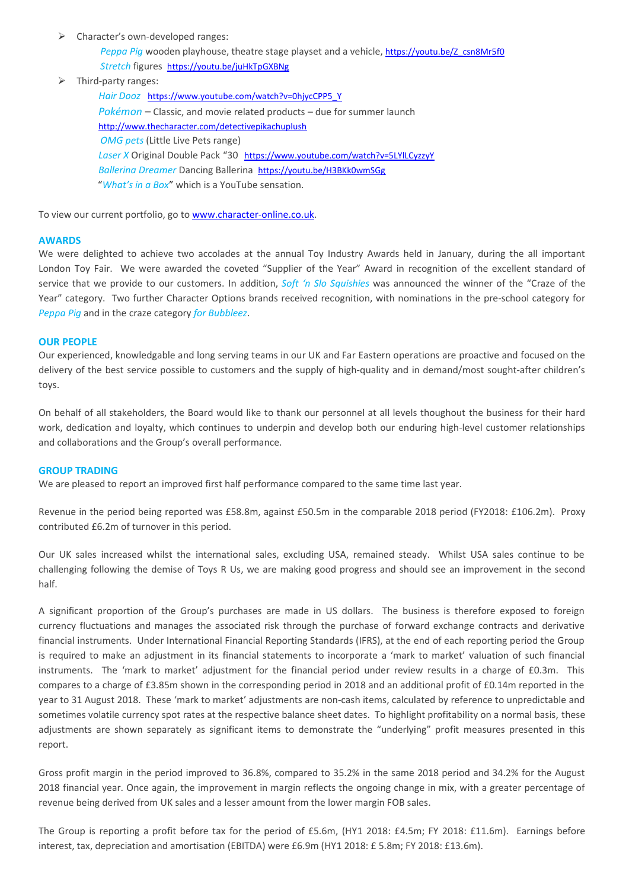- $\triangleright$  Character's own-developed ranges:
	- *Peppa Pig* wooden playhouse, theatre stage playset and a vehicle, [https://youtu.be/Z\\_csn8Mr5f0](https://youtu.be/Z_csn8Mr5f0) *Stretch* figures <https://youtu.be/juHkTpGXBNg>
- ➢ Third-party ranges:

*Hair Dooz* [https://www.youtube.com/watch?v=0hjycCPP5\\_Y](https://www.youtube.com/watch?v=0hjycCPP5_Y) *Pokémon* – Classic, and movie related products – due for summer launch <http://www.thecharacter.com/detectivepikachuplush> *OMG pets* (Little Live Pets range) Laser X Original Double Pack "30 <https://www.youtube.com/watch?v=5LYlLCyzzyY> *Ballerina Dreamer* Dancing Ballerina <https://youtu.be/H3BKk0wmSGg> "*What's in a Box*" which is a YouTube sensation.

To view our current portfolio, go to [www.character-online.co.uk.](http://www.character-online.co.uk/)

#### **AWARDS**

We were delighted to achieve two accolades at the annual Toy Industry Awards held in January, during the all important London Toy Fair. We were awarded the coveted "Supplier of the Year" Award in recognition of the excellent standard of service that we provide to our customers. In addition, *Soft 'n Slo Squishies* was announced the winner of the "Craze of the Year" category. Two further Character Options brands received recognition, with nominations in the pre-school category for *Peppa Pig* and in the craze category *for Bubbleez*.

## **OUR PEOPLE**

Our experienced, knowledgable and long serving teams in our UK and Far Eastern operations are proactive and focused on the delivery of the best service possible to customers and the supply of high-quality and in demand/most sought-after children's toys.

On behalf of all stakeholders, the Board would like to thank our personnel at all levels thoughout the business for their hard work, dedication and loyalty, which continues to underpin and develop both our enduring high-level customer relationships and collaborations and the Group's overall performance.

## **GROUP TRADING**

We are pleased to report an improved first half performance compared to the same time last year.

Revenue in the period being reported was £58.8m, against £50.5m in the comparable 2018 period (FY2018: £106.2m). Proxy contributed £6.2m of turnover in this period.

Our UK sales increased whilst the international sales, excluding USA, remained steady. Whilst USA sales continue to be challenging following the demise of Toys R Us, we are making good progress and should see an improvement in the second half.

A significant proportion of the Group's purchases are made in US dollars. The business is therefore exposed to foreign currency fluctuations and manages the associated risk through the purchase of forward exchange contracts and derivative financial instruments. Under International Financial Reporting Standards (IFRS), at the end of each reporting period the Group is required to make an adjustment in its financial statements to incorporate a 'mark to market' valuation of such financial instruments. The 'mark to market' adjustment for the financial period under review results in a charge of £0.3m. This compares to a charge of £3.85m shown in the corresponding period in 2018 and an additional profit of £0.14m reported in the year to 31 August 2018. These 'mark to market' adjustments are non-cash items, calculated by reference to unpredictable and sometimes volatile currency spot rates at the respective balance sheet dates. To highlight profitability on a normal basis, these adjustments are shown separately as significant items to demonstrate the "underlying" profit measures presented in this report.

Gross profit margin in the period improved to 36.8%, compared to 35.2% in the same 2018 period and 34.2% for the August 2018 financial year. Once again, the improvement in margin reflects the ongoing change in mix, with a greater percentage of revenue being derived from UK sales and a lesser amount from the lower margin FOB sales.

The Group is reporting a profit before tax for the period of £5.6m, (HY1 2018: £4.5m; FY 2018: £11.6m). Earnings before interest, tax, depreciation and amortisation (EBITDA) were £6.9m (HY1 2018: £ 5.8m; FY 2018: £13.6m).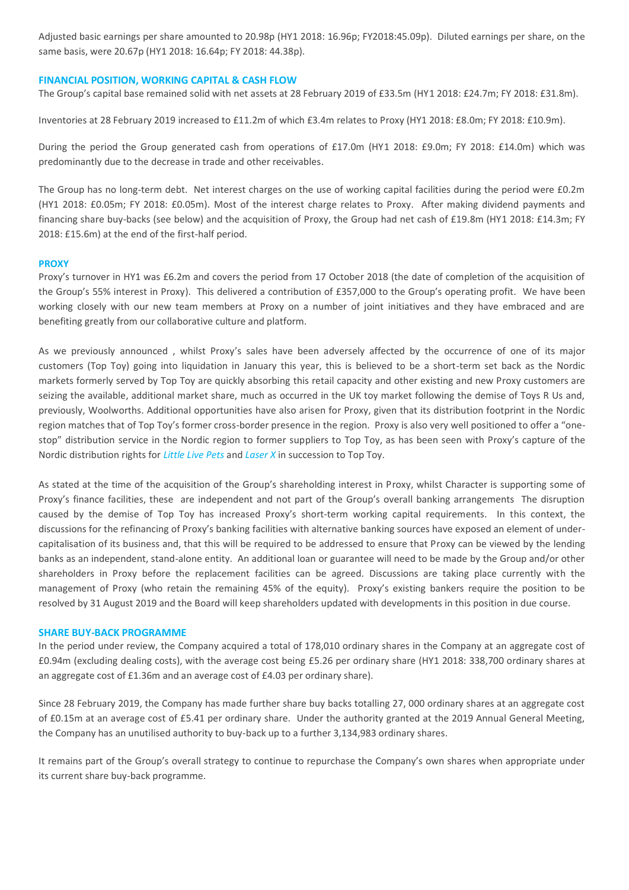Adjusted basic earnings per share amounted to 20.98p (HY1 2018: 16.96p; FY2018:45.09p). Diluted earnings per share, on the same basis, were 20.67p (HY1 2018: 16.64p; FY 2018: 44.38p).

# **FINANCIAL POSITION, WORKING CAPITAL & CASH FLOW**

The Group's capital base remained solid with net assets at 28 February 2019 of £33.5m (HY1 2018: £24.7m; FY 2018: £31.8m).

Inventories at 28 February 2019 increased to £11.2m of which £3.4m relates to Proxy (HY1 2018: £8.0m; FY 2018: £10.9m).

During the period the Group generated cash from operations of £17.0m (HY1 2018: £9.0m; FY 2018: £14.0m) which was predominantly due to the decrease in trade and other receivables.

The Group has no long-term debt. Net interest charges on the use of working capital facilities during the period were £0.2m (HY1 2018: £0.05m; FY 2018: £0.05m). Most of the interest charge relates to Proxy. After making dividend payments and financing share buy-backs (see below) and the acquisition of Proxy, the Group had net cash of £19.8m (HY1 2018: £14.3m; FY 2018: £15.6m) at the end of the first-half period.

#### **PROXY**

Proxy's turnover in HY1 was £6.2m and covers the period from 17 October 2018 (the date of completion of the acquisition of the Group's 55% interest in Proxy). This delivered a contribution of £357,000 to the Group's operating profit. We have been working closely with our new team members at Proxy on a number of joint initiatives and they have embraced and are benefiting greatly from our collaborative culture and platform.

As we previously announced , whilst Proxy's sales have been adversely affected by the occurrence of one of its major customers (Top Toy) going into liquidation in January this year, this is believed to be a short-term set back as the Nordic markets formerly served by Top Toy are quickly absorbing this retail capacity and other existing and new Proxy customers are seizing the available, additional market share, much as occurred in the UK toy market following the demise of Toys R Us and, previously, Woolworths. Additional opportunities have also arisen for Proxy, given that its distribution footprint in the Nordic region matches that of Top Toy's former cross-border presence in the region. Proxy is also very well positioned to offer a "onestop" distribution service in the Nordic region to former suppliers to Top Toy, as has been seen with Proxy's capture of the Nordic distribution rights for *Little Live Pets* and *Laser X* in succession to Top Toy.

As stated at the time of the acquisition of the Group's shareholding interest in Proxy, whilst Character is supporting some of Proxy's finance facilities, these are independent and not part of the Group's overall banking arrangements The disruption caused by the demise of Top Toy has increased Proxy's short-term working capital requirements. In this context, the discussions for the refinancing of Proxy's banking facilities with alternative banking sources have exposed an element of undercapitalisation of its business and, that this will be required to be addressed to ensure that Proxy can be viewed by the lending banks as an independent, stand-alone entity. An additional loan or guarantee will need to be made by the Group and/or other shareholders in Proxy before the replacement facilities can be agreed. Discussions are taking place currently with the management of Proxy (who retain the remaining 45% of the equity). Proxy's existing bankers require the position to be resolved by 31 August 2019 and the Board will keep shareholders updated with developments in this position in due course.

#### **SHARE BUY-BACK PROGRAMME**

In the period under review, the Company acquired a total of 178,010 ordinary shares in the Company at an aggregate cost of £0.94m (excluding dealing costs), with the average cost being £5.26 per ordinary share (HY1 2018: 338,700 ordinary shares at an aggregate cost of £1.36m and an average cost of £4.03 per ordinary share).

Since 28 February 2019, the Company has made further share buy backs totalling 27, 000 ordinary shares at an aggregate cost of £0.15m at an average cost of £5.41 per ordinary share. Under the authority granted at the 2019 Annual General Meeting, the Company has an unutilised authority to buy-back up to a further 3,134,983 ordinary shares.

It remains part of the Group's overall strategy to continue to repurchase the Company's own shares when appropriate under its current share buy-back programme.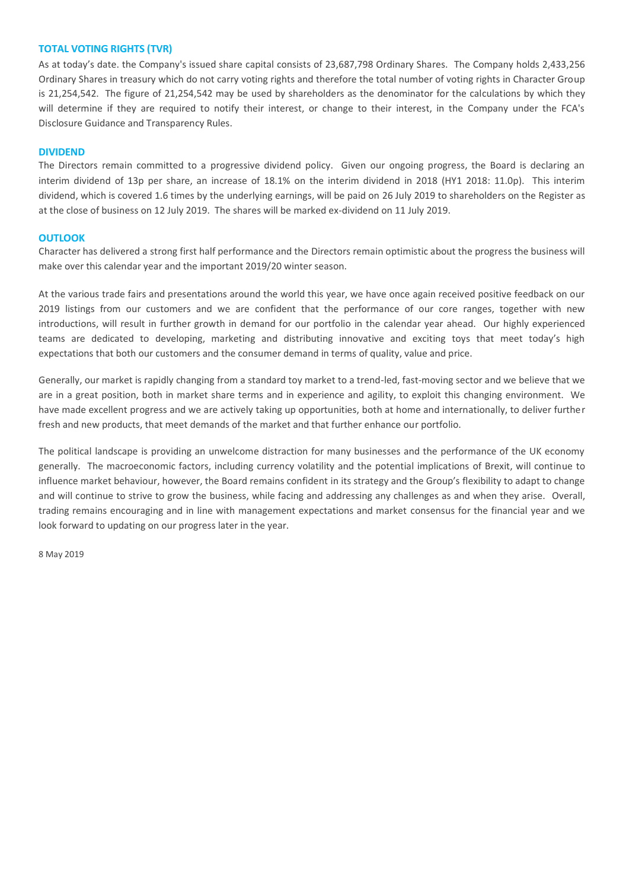# **TOTAL VOTING RIGHTS (TVR)**

As at today's date. the Company's issued share capital consists of 23,687,798 Ordinary Shares. The Company holds 2,433,256 Ordinary Shares in treasury which do not carry voting rights and therefore the total number of voting rights in Character Group is 21,254,542. The figure of 21,254,542 may be used by shareholders as the denominator for the calculations by which they will determine if they are required to notify their interest, or change to their interest, in the Company under the FCA's Disclosure Guidance and Transparency Rules.

# **DIVIDEND**

The Directors remain committed to a progressive dividend policy. Given our ongoing progress, the Board is declaring an interim dividend of 13p per share, an increase of 18.1% on the interim dividend in 2018 (HY1 2018: 11.0p). This interim dividend, which is covered 1.6 times by the underlying earnings, will be paid on 26 July 2019 to shareholders on the Register as at the close of business on 12 July 2019. The shares will be marked ex-dividend on 11 July 2019.

## **OUTLOOK**

Character has delivered a strong first half performance and the Directors remain optimistic about the progress the business will make over this calendar year and the important 2019/20 winter season.

At the various trade fairs and presentations around the world this year, we have once again received positive feedback on our 2019 listings from our customers and we are confident that the performance of our core ranges, together with new introductions, will result in further growth in demand for our portfolio in the calendar year ahead. Our highly experienced teams are dedicated to developing, marketing and distributing innovative and exciting toys that meet today's high expectations that both our customers and the consumer demand in terms of quality, value and price.

Generally, our market is rapidly changing from a standard toy market to a trend-led, fast-moving sector and we believe that we are in a great position, both in market share terms and in experience and agility, to exploit this changing environment. We have made excellent progress and we are actively taking up opportunities, both at home and internationally, to deliver further fresh and new products, that meet demands of the market and that further enhance our portfolio.

The political landscape is providing an unwelcome distraction for many businesses and the performance of the UK economy generally. The macroeconomic factors, including currency volatility and the potential implications of Brexit, will continue to influence market behaviour, however, the Board remains confident in its strategy and the Group's flexibility to adapt to change and will continue to strive to grow the business, while facing and addressing any challenges as and when they arise. Overall, trading remains encouraging and in line with management expectations and market consensus for the financial year and we look forward to updating on our progress later in the year.

8 May 2019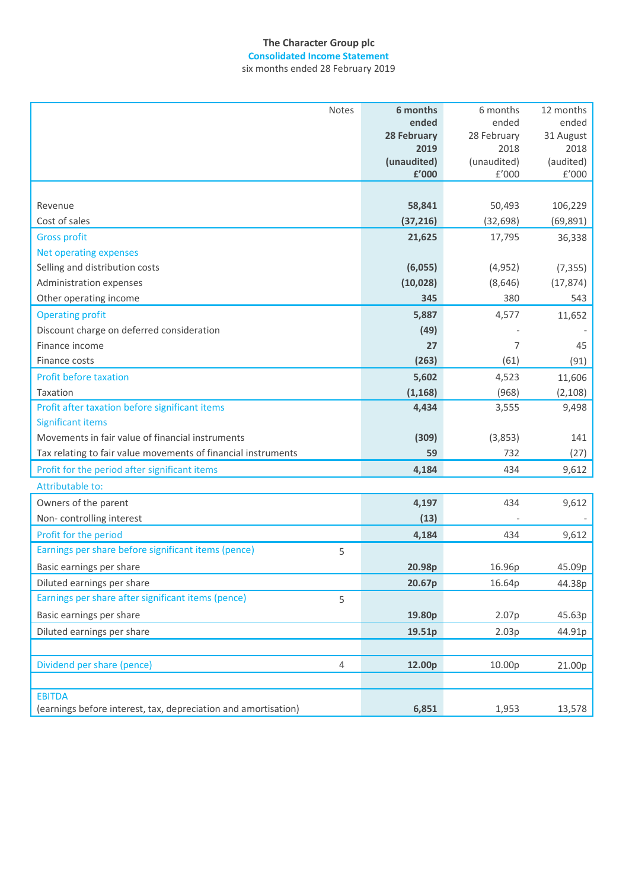# **The Character Group plc**

six months ended 28 February 2019 **Consolidated Income Statement**

| Notes                                                          | 6 months    | 6 months    | 12 months |
|----------------------------------------------------------------|-------------|-------------|-----------|
|                                                                | ended       | ended       | ended     |
|                                                                | 28 February | 28 February | 31 August |
|                                                                | 2019        | 2018        | 2018      |
|                                                                | (unaudited) | (unaudited) | (audited) |
|                                                                | £'000       | f'000       | £'000     |
|                                                                |             |             |           |
| Revenue                                                        | 58,841      | 50,493      | 106,229   |
| Cost of sales                                                  | (37, 216)   | (32, 698)   | (69, 891) |
| <b>Gross profit</b>                                            | 21,625      | 17,795      | 36,338    |
| <b>Net operating expenses</b>                                  |             |             |           |
| Selling and distribution costs                                 | (6,055)     | (4, 952)    | (7, 355)  |
| Administration expenses                                        | (10, 028)   | (8,646)     | (17, 874) |
| Other operating income                                         | 345         | 380         | 543       |
| <b>Operating profit</b>                                        | 5,887       | 4,577       | 11,652    |
| Discount charge on deferred consideration                      | (49)        |             |           |
| Finance income                                                 | 27          | 7           | 45        |
| Finance costs                                                  | (263)       | (61)        | (91)      |
| <b>Profit before taxation</b>                                  | 5,602       | 4,523       | 11,606    |
| Taxation                                                       | (1, 168)    | (968)       | (2, 108)  |
| Profit after taxation before significant items                 | 4,434       | 3,555       | 9,498     |
| <b>Significant items</b>                                       |             |             |           |
| Movements in fair value of financial instruments               | (309)       | (3,853)     | 141       |
| Tax relating to fair value movements of financial instruments  | 59          | 732         | (27)      |
| Profit for the period after significant items                  | 4,184       | 434         | 9,612     |
| Attributable to:                                               |             |             |           |
| Owners of the parent                                           | 4,197       | 434         | 9,612     |
| Non-controlling interest                                       | (13)        |             |           |
| Profit for the period                                          | 4,184       | 434         | 9,612     |
| Earnings per share before significant items (pence)<br>5       |             |             |           |
| Basic earnings per share                                       | 20.98p      | 16.96p      | 45.09p    |
| Diluted earnings per share                                     | 20.67p      | 16.64p      | 44.38p    |
| Earnings per share after significant items (pence)<br>5        |             |             |           |
| Basic earnings per share                                       | 19.80p      | 2.07p       | 45.63p    |
| Diluted earnings per share                                     | 19.51p      | 2.03p       | 44.91p    |
|                                                                |             |             |           |
| Dividend per share (pence)<br>$\overline{4}$                   | 12.00p      | 10.00p      | 21.00p    |
|                                                                |             |             |           |
| <b>EBITDA</b>                                                  |             |             |           |
| (earnings before interest, tax, depreciation and amortisation) | 6,851       | 1,953       | 13,578    |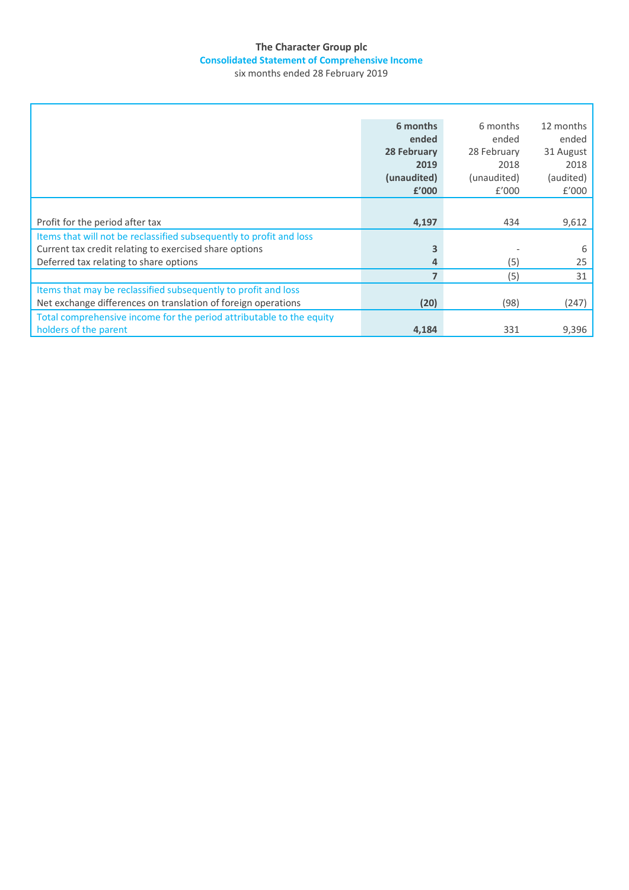# **The Character Group plc Consolidated Statement of Comprehensive Income**

six months ended 28 February 2019

| 6 months    | 6 months    | 12 months |
|-------------|-------------|-----------|
| ended       | ended       | ended     |
| 28 February | 28 February | 31 August |
| 2019        | 2018        | 2018      |
| (unaudited) | (unaudited) | (audited) |
| £'000       | f'000       | £'000     |
|             |             |           |
| 4,197       | 434         | 9,612     |
|             |             |           |
|             |             | 6         |
| 4           | (5)         | 25        |
| 7           | (5)         | 31        |
|             |             |           |
| (20)        | (98)        | (247)     |
|             |             |           |
| 4,184       | 331         | 9,396     |
|             |             |           |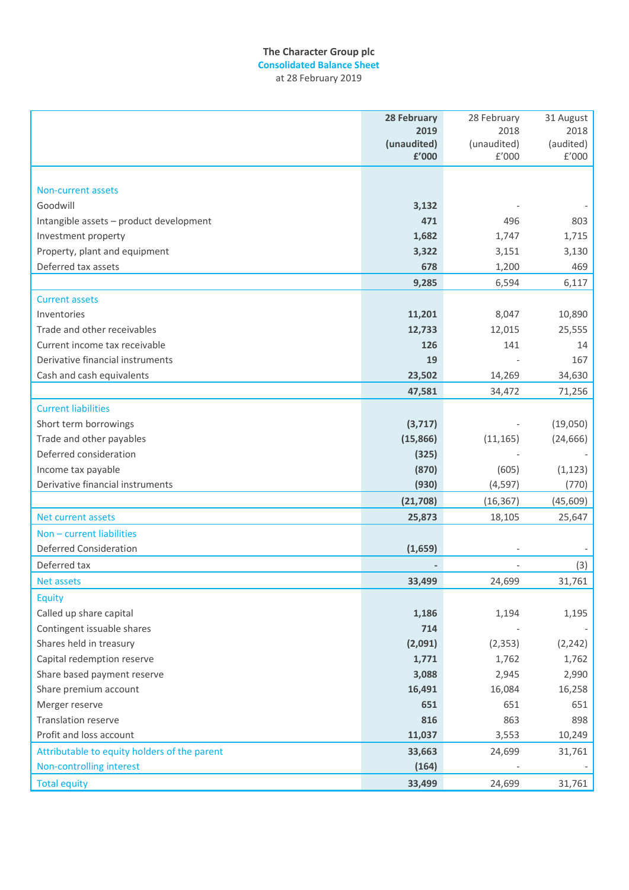# **The Character Group plc**

**Consolidated Balance Sheet** at 28 February 2019

|                                              | <b>28 February</b> | 28 February | 31 August |
|----------------------------------------------|--------------------|-------------|-----------|
|                                              | 2019               | 2018        | 2018      |
|                                              | (unaudited)        | (unaudited) | (audited) |
|                                              | £'000              | E'000       | £'000     |
|                                              |                    |             |           |
| Non-current assets                           |                    |             |           |
| Goodwill                                     | 3,132              |             |           |
| Intangible assets - product development      | 471                | 496         | 803       |
| Investment property                          | 1,682              | 1,747       | 1,715     |
| Property, plant and equipment                | 3,322              | 3,151       | 3,130     |
| Deferred tax assets                          | 678                | 1,200       | 469       |
|                                              | 9,285              | 6,594       | 6,117     |
| <b>Current assets</b>                        |                    |             |           |
| Inventories                                  | 11,201             | 8,047       | 10,890    |
| Trade and other receivables                  | 12,733             | 12,015      | 25,555    |
| Current income tax receivable                | 126                | 141         | 14        |
| Derivative financial instruments             | 19                 |             | 167       |
| Cash and cash equivalents                    | 23,502             | 14,269      | 34,630    |
|                                              | 47,581             | 34,472      | 71,256    |
| <b>Current liabilities</b>                   |                    |             |           |
| Short term borrowings                        | (3,717)            |             | (19,050)  |
| Trade and other payables                     | (15, 866)          | (11, 165)   | (24, 666) |
| Deferred consideration                       | (325)              |             |           |
| Income tax payable                           | (870)              | (605)       | (1, 123)  |
| Derivative financial instruments             | (930)              | (4, 597)    | (770)     |
|                                              |                    |             |           |
|                                              | (21, 708)          | (16, 367)   | (45, 609) |
| Net current assets                           | 25,873             | 18,105      | 25,647    |
| Non - current liabilities                    |                    |             |           |
| <b>Deferred Consideration</b>                | (1,659)            |             |           |
| Deferred tax                                 |                    |             | (3)       |
| <b>Net assets</b>                            | 33,499             | 24,699      | 31,761    |
| <b>Equity</b>                                |                    |             |           |
| Called up share capital                      | 1,186              | 1,194       | 1,195     |
| Contingent issuable shares                   | 714                |             |           |
| Shares held in treasury                      | (2,091)            | (2, 353)    | (2, 242)  |
| Capital redemption reserve                   | 1,771              | 1,762       | 1,762     |
| Share based payment reserve                  | 3,088              | 2,945       | 2,990     |
| Share premium account                        | 16,491             | 16,084      | 16,258    |
| Merger reserve                               | 651                | 651         | 651       |
| <b>Translation reserve</b>                   | 816                | 863         | 898       |
| Profit and loss account                      | 11,037             | 3,553       | 10,249    |
| Attributable to equity holders of the parent | 33,663             | 24,699      | 31,761    |
| Non-controlling interest                     | (164)              |             |           |
| <b>Total equity</b>                          | 33,499             | 24,699      | 31,761    |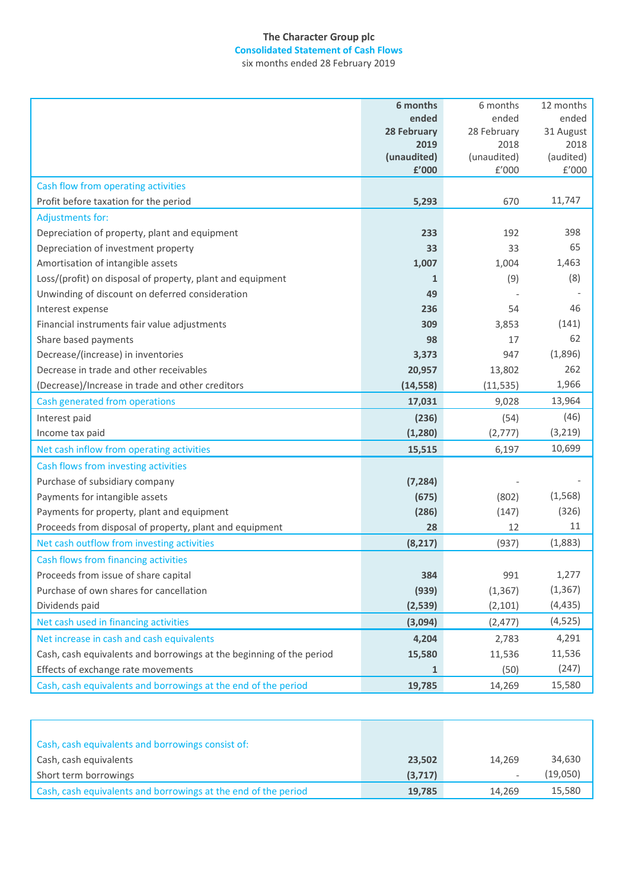# **The Character Group plc Consolidated Statement of Cash Flows** six months ended 28 February 2019

|                                                                      | 6 months                   | 6 months            | 12 months         |
|----------------------------------------------------------------------|----------------------------|---------------------|-------------------|
|                                                                      | ended                      | ended               | ended             |
|                                                                      | <b>28 February</b><br>2019 | 28 February<br>2018 | 31 August<br>2018 |
|                                                                      | (unaudited)                | (unaudited)         | (audited)         |
|                                                                      | £'000                      | E'000               | £'000             |
| Cash flow from operating activities                                  |                            |                     |                   |
| Profit before taxation for the period                                | 5,293                      | 670                 | 11,747            |
| <b>Adjustments for:</b>                                              |                            |                     |                   |
| Depreciation of property, plant and equipment                        | 233                        | 192                 | 398               |
| Depreciation of investment property                                  | 33                         | 33                  | 65                |
| Amortisation of intangible assets                                    | 1,007                      | 1,004               | 1,463             |
| Loss/(profit) on disposal of property, plant and equipment           | 1                          | (9)                 | (8)               |
| Unwinding of discount on deferred consideration                      | 49                         |                     |                   |
| Interest expense                                                     | 236                        | 54                  | 46                |
| Financial instruments fair value adjustments                         | 309                        | 3,853               | (141)             |
| Share based payments                                                 | 98                         | 17                  | 62                |
| Decrease/(increase) in inventories                                   | 3,373                      | 947                 | (1,896)           |
| Decrease in trade and other receivables                              | 20,957                     | 13,802              | 262               |
| (Decrease)/Increase in trade and other creditors                     | (14, 558)                  | (11, 535)           | 1,966             |
| Cash generated from operations                                       | 17,031                     | 9,028               | 13,964            |
| Interest paid                                                        | (236)                      | (54)                | (46)              |
| Income tax paid                                                      | (1, 280)                   | (2,777)             | (3,219)           |
| Net cash inflow from operating activities                            | 15,515                     | 6,197               | 10,699            |
| Cash flows from investing activities                                 |                            |                     |                   |
| Purchase of subsidiary company                                       | (7, 284)                   |                     |                   |
| Payments for intangible assets                                       | (675)                      | (802)               | (1,568)           |
| Payments for property, plant and equipment                           | (286)                      | (147)               | (326)             |
| Proceeds from disposal of property, plant and equipment              | 28                         | 12                  | 11                |
| Net cash outflow from investing activities                           | (8, 217)                   | (937)               | (1,883)           |
| Cash flows from financing activities                                 |                            |                     |                   |
| Proceeds from issue of share capital                                 | 384                        | 991                 | 1,277             |
| Purchase of own shares for cancellation                              | (939)                      | (1, 367)            | (1, 367)          |
| Dividends paid                                                       | (2,539)                    | (2, 101)            | (4, 435)          |
| Net cash used in financing activities                                | (3,094)                    | (2, 477)            | (4, 525)          |
| Net increase in cash and cash equivalents                            | 4,204                      | 2,783               | 4,291             |
| Cash, cash equivalents and borrowings at the beginning of the period | 15,580                     | 11,536              | 11,536            |
| Effects of exchange rate movements                                   | $\mathbf{1}$               | (50)                | (247)             |
| Cash, cash equivalents and borrowings at the end of the period       | 19,785                     | 14,269              | 15,580            |

| Cash, cash equivalents and borrowings consist of:              |         |        |          |
|----------------------------------------------------------------|---------|--------|----------|
| Cash, cash equivalents                                         | 23,502  | 14.269 | 34,630   |
| Short term borrowings                                          | (3,717) |        | (19,050) |
| Cash, cash equivalents and borrowings at the end of the period | 19,785  | 14.269 | 15,580   |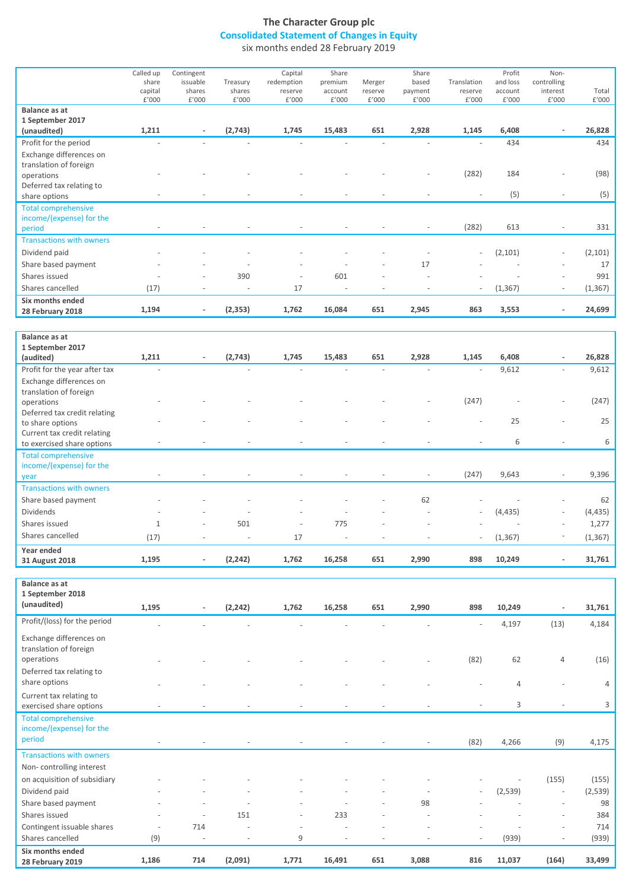# **The Character Group plc Consolidated Statement of Changes in Equity**

six months ended 28 February 2019

|                                 | Called up | Contingent               |          | Capital                  | Share                    |                          | Share                        |                          | Profit   | Non-                     |          |
|---------------------------------|-----------|--------------------------|----------|--------------------------|--------------------------|--------------------------|------------------------------|--------------------------|----------|--------------------------|----------|
|                                 | share     | issuable                 | Treasury | redemption               | premium                  | Merger                   | based                        | Translation              | and loss | controlling              |          |
|                                 | capital   | shares                   | shares   | reserve                  | account                  | reserve                  | payment                      | reserve                  | account  | interest                 | Total    |
|                                 | f'000     | £'000                    | f'000    | f'000                    | f'000                    | f'000                    | f'000                        | f'000                    | f'000    | £'000                    | £'000    |
| Balance as at                   |           |                          |          |                          |                          |                          |                              |                          |          |                          |          |
| 1 September 2017                |           |                          |          |                          |                          |                          |                              |                          |          |                          |          |
| (unaudited)                     | 1,211     |                          | (2,743)  | 1,745                    | 15,483                   | 651                      | 2,928                        | 1,145                    | 6,408    |                          | 26,828   |
| Profit for the period           |           |                          |          |                          |                          |                          |                              |                          | 434      |                          | 434      |
| Exchange differences on         |           |                          |          |                          |                          |                          |                              |                          |          |                          |          |
| translation of foreign          |           |                          |          |                          |                          |                          |                              |                          |          |                          |          |
| operations                      |           |                          |          |                          |                          |                          |                              | (282)                    | 184      |                          | (98)     |
|                                 |           |                          |          |                          |                          |                          |                              |                          |          |                          |          |
| Deferred tax relating to        |           |                          |          |                          |                          |                          |                              |                          | (5)      | $\overline{\phantom{a}}$ |          |
| share options                   |           |                          |          |                          |                          |                          |                              |                          |          |                          | (5)      |
| <b>Total comprehensive</b>      |           |                          |          |                          |                          |                          |                              |                          |          |                          |          |
| income/(expense) for the        |           |                          |          |                          |                          |                          |                              |                          |          |                          |          |
| period                          |           |                          |          |                          |                          |                          |                              | (282)                    | 613      |                          | 331      |
| <b>Transactions with owners</b> |           |                          |          |                          |                          |                          |                              |                          |          |                          |          |
| Dividend paid                   |           |                          |          |                          |                          |                          |                              |                          | (2, 101) | $\overline{\phantom{a}}$ | (2, 101) |
| Share based payment             |           | $\overline{\phantom{a}}$ |          | $\overline{\phantom{a}}$ |                          | $\overline{\phantom{a}}$ | 17                           |                          |          | $\overline{\phantom{a}}$ | 17       |
| Shares issued                   |           | $\overline{\phantom{a}}$ | 390      | $\overline{\phantom{a}}$ | 601                      |                          |                              |                          |          | $\overline{\phantom{a}}$ | 991      |
| Shares cancelled                | (17)      | $\overline{\phantom{a}}$ |          | 17                       | $\overline{\phantom{a}}$ |                          | $\qquad \qquad \blacksquare$ | $\overline{\phantom{a}}$ | (1, 367) | $\overline{\phantom{a}}$ | (1, 367) |
| Six months ended                |           |                          |          |                          |                          |                          |                              |                          |          |                          |          |
| 28 February 2018                | 1,194     | $\overline{\phantom{a}}$ | (2, 353) | 1,762                    | 16,084                   | 651                      | 2,945                        | 863                      | 3,553    | $\blacksquare$           | 24,699   |
|                                 |           |                          |          |                          |                          |                          |                              |                          |          |                          |          |

| Balance as at                   |              |                          |                          |                          |                          |     |                          |                          |          |                          |          |
|---------------------------------|--------------|--------------------------|--------------------------|--------------------------|--------------------------|-----|--------------------------|--------------------------|----------|--------------------------|----------|
| 1 September 2017                |              |                          |                          |                          |                          |     |                          |                          |          |                          |          |
| (audited)                       | 1,211        | ۰                        | (2,743)                  | 1,745                    | 15,483                   | 651 | 2,928                    | 1,145                    | 6,408    | $\sim$                   | 26,828   |
| Profit for the year after tax   |              |                          |                          |                          |                          |     |                          | $\overline{\phantom{a}}$ | 9,612    | $\overline{\phantom{a}}$ | 9,612    |
| Exchange differences on         |              |                          |                          |                          |                          |     |                          |                          |          |                          |          |
| translation of foreign          |              |                          |                          |                          |                          |     |                          |                          |          |                          |          |
| operations                      |              |                          |                          |                          |                          |     |                          | (247)                    |          | $\overline{\phantom{a}}$ | (247)    |
| Deferred tax credit relating    |              |                          |                          |                          |                          |     |                          |                          |          |                          |          |
| to share options                |              |                          |                          |                          |                          |     |                          |                          | 25       | $\overline{a}$           | 25       |
| Current tax credit relating     |              |                          |                          |                          |                          |     |                          |                          |          |                          |          |
| to exercised share options      |              |                          |                          |                          |                          |     |                          |                          | 6        | $\overline{\phantom{a}}$ | 6        |
| <b>Total comprehensive</b>      |              |                          |                          |                          |                          |     |                          |                          |          |                          |          |
| income/(expense) for the        |              |                          |                          |                          |                          |     |                          |                          |          |                          |          |
| year                            |              |                          |                          |                          |                          |     |                          | (247)                    | 9,643    |                          | 9,396    |
| <b>Transactions with owners</b> |              |                          |                          |                          |                          |     |                          |                          |          |                          |          |
| Share based payment             |              |                          |                          |                          |                          |     | 62                       |                          |          | $\overline{\phantom{a}}$ | 62       |
| <b>Dividends</b>                |              | $\overline{\phantom{a}}$ |                          | $\overline{\phantom{a}}$ | $\overline{\phantom{a}}$ |     | $\overline{\phantom{a}}$ | $\overline{\phantom{a}}$ | (4, 435) | $\overline{\phantom{a}}$ | (4, 435) |
| Shares issued                   | $\mathbf{1}$ | $\overline{\phantom{a}}$ | 501                      | $\overline{\phantom{a}}$ | 775                      |     | $\overline{\phantom{a}}$ |                          |          | $\overline{\phantom{a}}$ | 1,277    |
| Shares cancelled                | (17)         | $\overline{\phantom{a}}$ | $\overline{\phantom{a}}$ | 17                       | $\overline{\phantom{a}}$ |     |                          | $\overline{\phantom{a}}$ | (1, 367) | $\overline{\phantom{a}}$ | (1, 367) |
| Year ended                      |              |                          |                          |                          |                          |     |                          |                          |          |                          |          |
| 31 August 2018                  | 1,195        |                          | (2, 242)                 | 1,762                    | 16,258                   | 651 | 2,990                    | 898                      | 10,249   |                          | 31,761   |

| <b>Balance as at</b><br>1 September 2018                         |       |                          |          |                              |                          |                          |                          |                          |         |                          |                |
|------------------------------------------------------------------|-------|--------------------------|----------|------------------------------|--------------------------|--------------------------|--------------------------|--------------------------|---------|--------------------------|----------------|
| (unaudited)                                                      | 1,195 | $\overline{\phantom{a}}$ | (2, 242) | 1,762                        | 16,258                   | 651                      | 2,990                    | 898                      | 10,249  | $\overline{\phantom{a}}$ | 31,761         |
| Profit/(loss) for the period                                     |       |                          |          |                              |                          |                          |                          |                          | 4,197   | (13)                     | 4,184          |
| Exchange differences on<br>translation of foreign<br>operations  |       |                          |          |                              |                          |                          |                          |                          | 62      |                          |                |
| Deferred tax relating to                                         |       |                          |          |                              |                          |                          |                          | (82)                     |         | $\overline{4}$           | (16)           |
| share options                                                    |       |                          |          |                              |                          |                          |                          |                          | 4       |                          | $\overline{4}$ |
| Current tax relating to<br>exercised share options               |       |                          |          |                              |                          |                          |                          |                          | 3       | $\overline{\phantom{a}}$ | 3              |
| <b>Total comprehensive</b><br>income/(expense) for the<br>period |       |                          |          |                              |                          |                          |                          | (82)                     | 4,266   | (9)                      | 4,175          |
| <b>Transactions with owners</b><br>Non-controlling interest      |       |                          |          |                              |                          |                          |                          |                          |         |                          |                |
| on acquisition of subsidiary                                     |       |                          |          |                              |                          |                          |                          |                          |         | (155)                    | (155)          |
| Dividend paid                                                    |       | $\sim$                   |          | ٠                            | $\overline{\phantom{a}}$ | $\overline{\phantom{a}}$ | $\overline{\phantom{a}}$ | $\overline{\phantom{a}}$ | (2,539) | $\overline{\phantom{a}}$ | (2,539)        |
| Share based payment                                              |       | $\overline{\phantom{a}}$ |          |                              | ä,                       |                          | 98                       |                          |         | $\overline{\phantom{a}}$ | 98             |
| Shares issued                                                    |       | $\overline{\phantom{a}}$ | 151      | $\qquad \qquad \blacksquare$ | 233                      |                          | ٠                        |                          |         | $\overline{\phantom{a}}$ | 384            |
| Contingent issuable shares                                       |       | 714                      |          | $\qquad \qquad \blacksquare$ |                          |                          |                          |                          |         | $\overline{\phantom{a}}$ | 714            |
| Shares cancelled                                                 | (9)   | $\overline{\phantom{a}}$ |          | 9                            |                          |                          |                          | $\overline{\phantom{a}}$ | (939)   | $\overline{\phantom{a}}$ | (939)          |
| Six months ended<br>28 February 2019                             | 1,186 | 714                      | (2,091)  | 1,771                        | 16,491                   | 651                      | 3,088                    | 816                      | 11,037  | (164)                    | 33,499         |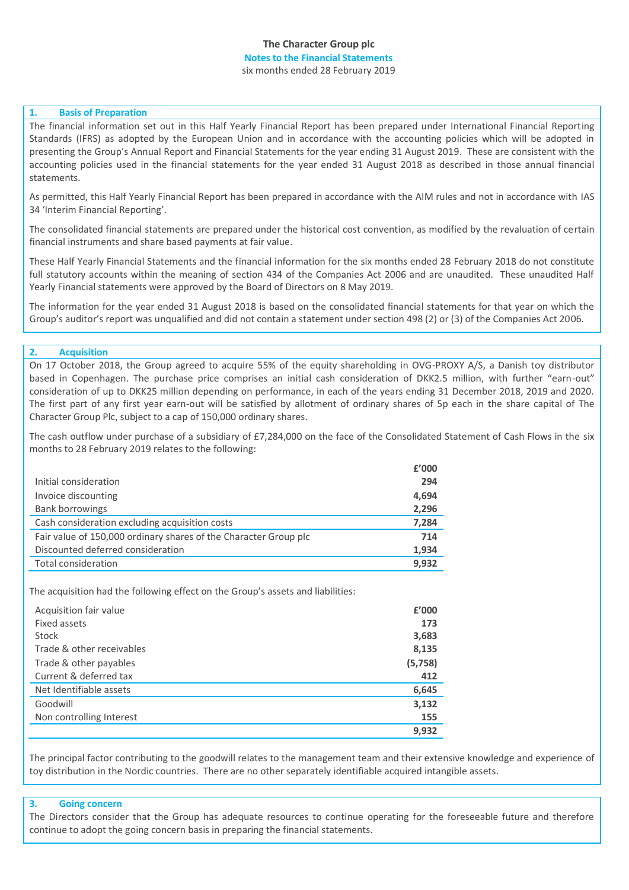# **The Character Group plc Notes to the Financial Statements** six months ended 28 February 2019

# **1. Basis of Preparation**

The financial information set out in this Half Yearly Financial Report has been prepared under International Financial Reporting Standards (IFRS) as adopted by the European Union and in accordance with the accounting policies which will be adopted in presenting the Group's Annual Report and Financial Statements for the year ending 31 August 2019. These are consistent with the accounting policies used in the financial statements for the year ended 31 August 2018 as described in those annual financial statements.

As permitted, this Half Yearly Financial Report has been prepared in accordance with the AIM rules and not in accordance with IAS 34 'Interim Financial Reporting'.

The consolidated financial statements are prepared under the historical cost convention, as modified by the revaluation of certain financial instruments and share based payments at fair value.

These Half Yearly Financial Statements and the financial information for the six months ended 28 February 2018 do not constitute full statutory accounts within the meaning of section 434 of the Companies Act 2006 and are unaudited. These unaudited Half Yearly Financial statements were approved by the Board of Directors on 8 May 2019.

The information for the year ended 31 August 2018 is based on the consolidated financial statements for that year on which the Group's auditor's report was unqualified and did not contain a statement under section 498 (2) or (3) of the Companies Act 2006.

# **2. Acquisition**

On 17 October 2018, the Group agreed to acquire 55% of the equity shareholding in OVG-PROXY A/S, a Danish toy distributor based in Copenhagen. The purchase price comprises an initial cash consideration of DKK2.5 million, with further "earn-out" consideration of up to DKK25 million depending on performance, in each of the years ending 31 December 2018, 2019 and 2020. The first part of any first year earn-out will be satisfied by allotment of ordinary shares of 5p each in the share capital of The Character Group Plc, subject to a cap of 150,000 ordinary shares.

The cash outflow under purchase of a subsidiary of £7,284,000 on the face of the Consolidated Statement of Cash Flows in the six months to 28 February 2019 relates to the following:

|                                                                  | £'000 |
|------------------------------------------------------------------|-------|
| Initial consideration                                            | 294   |
| Invoice discounting                                              | 4,694 |
| <b>Bank borrowings</b>                                           | 2,296 |
| Cash consideration excluding acquisition costs                   | 7,284 |
| Fair value of 150,000 ordinary shares of the Character Group plc | 714   |
| Discounted deferred consideration                                | 1,934 |
| <b>Total consideration</b>                                       | 9.932 |

The acquisition had the following effect on the Group's assets and liabilities:

| Acquisition fair value    | £'000   |
|---------------------------|---------|
| Fixed assets              | 173     |
| Stock                     | 3,683   |
| Trade & other receivables | 8,135   |
| Trade & other payables    | (5,758) |
| Current & deferred tax    | 412     |
| Net Identifiable assets   | 6,645   |
| Goodwill                  | 3,132   |
| Non controlling Interest  | 155     |
|                           | 9.932   |

The principal factor contributing to the goodwill relates to the management team and their extensive knowledge and experience of toy distribution in the Nordic countries. There are no other separately identifiable acquired intangible assets.

#### **3. Going concern**

The Directors consider that the Group has adequate resources to continue operating for the foreseeable future and therefore continue to adopt the going concern basis in preparing the financial statements.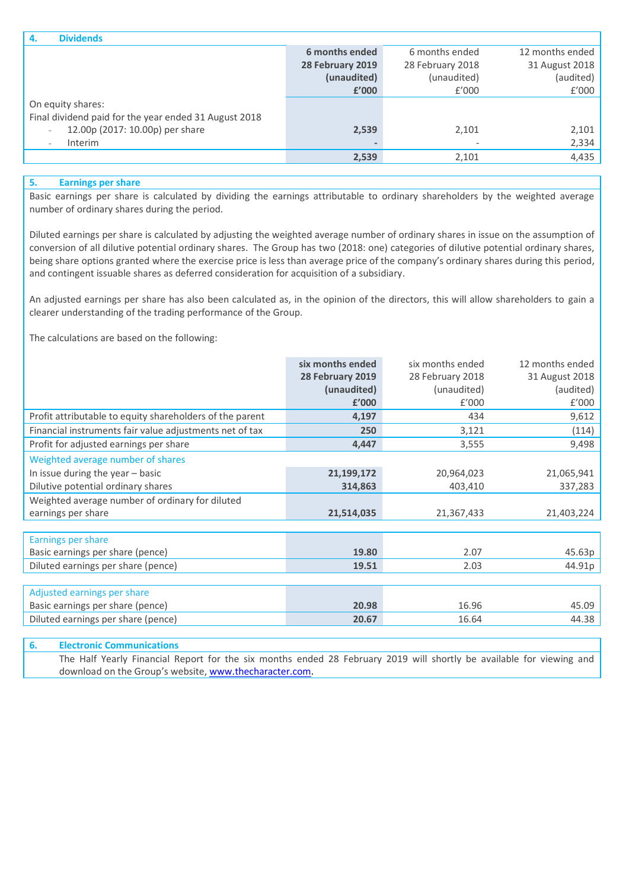| <b>Dividends</b><br>4.                                      |                  |                  |                 |
|-------------------------------------------------------------|------------------|------------------|-----------------|
|                                                             | 6 months ended   | 6 months ended   | 12 months ended |
|                                                             | 28 February 2019 | 28 February 2018 | 31 August 2018  |
|                                                             | (unaudited)      | (unaudited)      | (audited)       |
|                                                             | £'000            | f'000            | f'000           |
| On equity shares:                                           |                  |                  |                 |
| Final dividend paid for the year ended 31 August 2018       |                  |                  |                 |
| 12.00p (2017: 10.00p) per share<br>$\overline{\phantom{a}}$ | 2,539            | 2,101            | 2,101           |
| <b>Interim</b><br>$\overline{\phantom{a}}$                  |                  |                  | 2,334           |
|                                                             | 2,539            | 2,101            | 4,435           |
|                                                             |                  |                  |                 |

# **5. Earnings per share**

Basic earnings per share is calculated by dividing the earnings attributable to ordinary shareholders by the weighted average number of ordinary shares during the period.

Diluted earnings per share is calculated by adjusting the weighted average number of ordinary shares in issue on the assumption of conversion of all dilutive potential ordinary shares. The Group has two (2018: one) categories of dilutive potential ordinary shares, being share options granted where the exercise price is less than average price of the company's ordinary shares during this period, and contingent issuable shares as deferred consideration for acquisition of a subsidiary.

An adjusted earnings per share has also been calculated as, in the opinion of the directors, this will allow shareholders to gain a clearer understanding of the trading performance of the Group.

The calculations are based on the following:

|                                                          | six months ended | six months ended | 12 months ended |
|----------------------------------------------------------|------------------|------------------|-----------------|
|                                                          | 28 February 2019 | 28 February 2018 | 31 August 2018  |
|                                                          | (unaudited)      | (unaudited)      | (audited)       |
|                                                          | £'000            | f'000            | £'000           |
| Profit attributable to equity shareholders of the parent | 4,197            | 434              | 9,612           |
| Financial instruments fair value adjustments net of tax  | 250              | 3,121            | (114)           |
| Profit for adjusted earnings per share                   | 4,447            | 3,555            | 9,498           |
| Weighted average number of shares                        |                  |                  |                 |
| In issue during the year $-$ basic                       | 21,199,172       | 20,964,023       | 21,065,941      |
| Dilutive potential ordinary shares                       | 314,863          | 403,410          | 337,283         |
| Weighted average number of ordinary for diluted          |                  |                  |                 |
| earnings per share                                       | 21,514,035       | 21,367,433       | 21,403,224      |
|                                                          |                  |                  |                 |
| Earnings per share                                       |                  |                  |                 |
| Basic earnings per share (pence)                         | 19.80            | 2.07             | 45.63p          |
| Diluted earnings per share (pence)                       | 19.51            | 2.03             | 44.91p          |
|                                                          |                  |                  |                 |
| Adjusted earnings per share                              |                  |                  |                 |
| Basic earnings per share (pence)                         | 20.98            | 16.96            | 45.09           |
| Diluted earnings per share (pence)                       | 20.67            | 16.64            | 44.38           |
|                                                          |                  |                  |                 |

# **6. Electronic Communications** The Half Yearly Financial Report for the six months ended 28 February 2019 will shortly be available for viewing and download on the Group's website, [www.thecharacter.com.](http://www.thecharacter.com/)